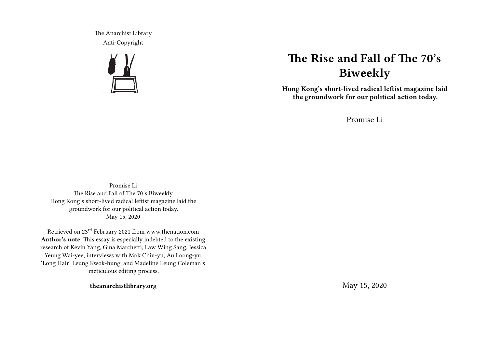The Anarchist Library Anti-Copyright



# **The Rise and Fall of The 70's Biweekly**

**Hong Kong's short-lived radical leftist magazine laid the groundwork for our political action today.**

Promise Li

Promise Li The Rise and Fall of The 70's Biweekly Hong Kong's short-lived radical leftist magazine laid the groundwork for our political action today. May 15, 2020

Retrieved on 23rd February 2021 from www.thenation.com **Author's note**: This essay is especially indebted to the existing research of Kevin Yang, Gina Marchetti, Law Wing Sang, Jessica Yeung Wai-yee, interviews with Mok Chiu-yu, Au Loong-yu, 'Long Hair' Leung Kwok-hung, and Madeline Leung Coleman's meticulous editing process.

**theanarchistlibrary.org**

May 15, 2020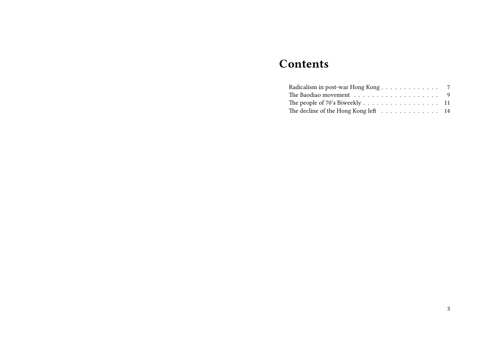# **Contents**

| The Baodiao movement $\ldots \ldots \ldots \ldots \ldots \ldots$ 9 |  |  |  |  |  |  |  |
|--------------------------------------------------------------------|--|--|--|--|--|--|--|
| The people of $70$ 's Biweekly 11                                  |  |  |  |  |  |  |  |
| The decline of the Hong Kong left 14                               |  |  |  |  |  |  |  |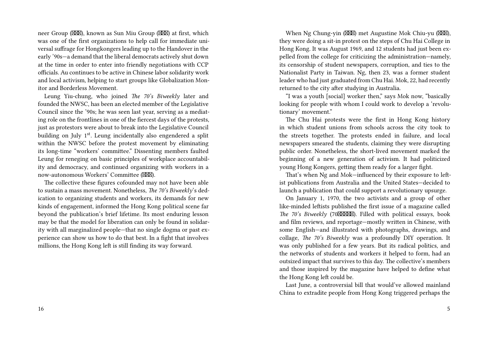neer Group ( $\mathbb{X}\mathbb{X}$ ), known as Sun Miu Group ( $\mathbb{X}\mathbb{X}$ ) at first, which was one of the first organizations to help call for immediate universal suffrage for Hongkongers leading up to the Handover in the early '90s—a demand that the liberal democrats actively shut down at the time in order to enter into friendly negotiations with CCP officials. Au continues to be active in Chinese labor solidarity work and local activism, helping to start groups like Globalization Monitor and Borderless Movement.

Leung Yiu-chung, who joined *The 70's Biweekly* later and founded the NWSC, has been an elected member of the Legislative Council since the '90s; he was seen last year, serving as a mediating role on the frontlines in one of the fiercest days of the protests, just as protestors were about to break into the Legislative Council building on July 1<sup>st</sup>. Leung incidentally also engendered a split within the NWSC before the protest movement by eliminating its long-time "workers' committee." Dissenting members faulted Leung for reneging on basic principles of workplace accountability and democracy, and continued organizing with workers in a now-autonomous Workers' Committee (XXX).

The collective these figures cofounded may not have been able to sustain a mass movement. Nonetheless, *The 70's Biweekly*'s dedication to organizing students and workers, its demands for new kinds of engagement, informed the Hong Kong political scene far beyond the publication's brief lifetime. Its most enduring lesson may be that the model for liberation can only be found in solidarity with all marginalized people—that no single dogma or past experience can show us how to do that best. In a fight that involves millions, the Hong Kong left is still finding its way forward.

When Ng Chung-yin ( $\mathbb{X}\mathbb{X}$ ) met Augustine Mok Chiu-yu ( $\mathbb{X}\mathbb{X}$ ), they were doing a sit-in protest on the steps of Chu Hai College in Hong Kong. It was August 1969, and 12 students had just been expelled from the college for criticizing the administration—namely, its censorship of student newspapers, corruption, and ties to the Nationalist Party in Taiwan. Ng, then 23, was a former student leader who had just graduated from Chu Hai. Mok, 22, had recently returned to the city after studying in Australia.

"I was a youth [social] worker then," says Mok now, "basically looking for people with whom I could work to develop a 'revolutionary' movement."

The Chu Hai protests were the first in Hong Kong history in which student unions from schools across the city took to the streets together. The protests ended in failure, and local newspapers smeared the students, claiming they were disrupting public order. Nonetheless, the short-lived movement marked the beginning of a new generation of activism. It had politicized young Hong Kongers, getting them ready for a larger fight.

That's when Ng and Mok—influenced by their exposure to leftist publications from Australia and the United States—decided to launch a publication that could support a revolutionary upsurge.

On January 1, 1970, the two activists and a group of other like-minded leftists published the first issue of a magazine called *The 70's Biweekly* (70XXXXI). Filled with political essays, book and film reviews, and reportage—mostly written in Chinese, with some English—and illustrated with photographs, drawings, and collage, *The 70's Biweekly* was a profoundly DIY operation. It was only published for a few years. But its radical politics, and the networks of students and workers it helped to form, had an outsized impact that survives to this day. The collective's members and those inspired by the magazine have helped to define what the Hong Kong left could be.

Last June, a controversial bill that would've allowed mainland China to extradite people from Hong Kong triggered perhaps the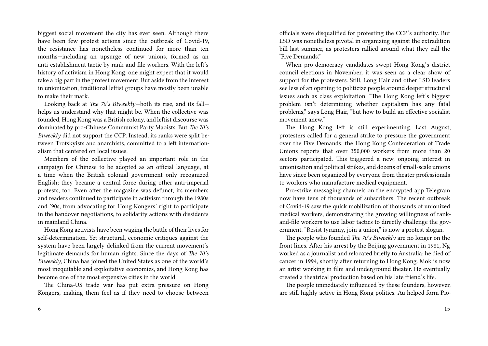biggest social movement the city has ever seen. Although there have been few protest actions since the outbreak of Covid-19, the resistance has nonetheless continued for more than ten months—including an upsurge of new unions, formed as an anti-establishment tactic by rank-and-file workers. With the left's history of activism in Hong Kong, one might expect that it would take a big part in the protest movement. But aside from the interest in unionization, traditional leftist groups have mostly been unable to make their mark.

Looking back at *The 70's Biweekly*—both its rise, and its fall helps us understand why that might be. When the collective was founded, Hong Kong was a British colony, and leftist discourse was dominated by pro-Chinese Communist Party Maoists. But *The 70's Biweekly* did not support the CCP. Instead, its ranks were split between Trotskyists and anarchists, committed to a left internationalism that centered on local issues.

Members of the collective played an important role in the campaign for Chinese to be adopted as an official language, at a time when the British colonial government only recognized English; they became a central force during other anti-imperial protests, too. Even after the magazine was defunct, its members and readers continued to participate in activism through the 1980s and '90s, from advocating for Hong Kongers' right to participate in the handover negotiations, to solidarity actions with dissidents in mainland China.

Hong Kong activists have been waging the battle of their lives for self-determination. Yet structural, economic critiques against the system have been largely delinked from the current movement's legitimate demands for human rights. Since the days of *The 70's Biweekly*, China has joined the United States as one of the world's most inequitable and exploitative economies, and Hong Kong has become one of the most expensive cities in the world.

The China-US trade war has put extra pressure on Hong Kongers, making them feel as if they need to choose between officials were disqualified for protesting the CCP's authority. But LSD was nonetheless pivotal in organizing against the extradition bill last summer, as protesters rallied around what they call the "Five Demands."

When pro-democracy candidates swept Hong Kong's district council elections in November, it was seen as a clear show of support for the protesters. Still, Long Hair and other LSD leaders see less of an opening to politicize people around deeper structural issues such as class exploitation. "The Hong Kong left's biggest problem isn't determining whether capitalism has any fatal problems," says Long Hair, "but how to build an effective socialist movement anew."

The Hong Kong left is still experimenting. Last August, protesters called for a general strike to pressure the government over the Five Demands; the Hong Kong Confederation of Trade Unions reports that over 350,000 workers from more than 20 sectors participated. This triggered a new, ongoing interest in unionization and political strikes, and dozens of small-scale unions have since been organized by everyone from theater professionals to workers who manufacture medical equipment.

Pro-strike messaging channels on the encrypted app Telegram now have tens of thousands of subscribers. The recent outbreak of Covid-19 saw the quick mobilization of thousands of unionized medical workers, demonstrating the growing willingness of rankand-file workers to use labor tactics to directly challenge the government. "Resist tyranny, join a union," is now a protest slogan.

The people who founded *The 70's Biweekly* are no longer on the front lines. After his arrest by the Beijing government in 1981, Ng worked as a journalist and relocated briefly to Australia; he died of cancer in 1994, shortly after returning to Hong Kong. Mok is now an artist working in film and underground theater. He eventually created a theatrical production based on his late friend's life.

The people immediately influenced by these founders, however, are still highly active in Hong Kong politics. Au helped form Pio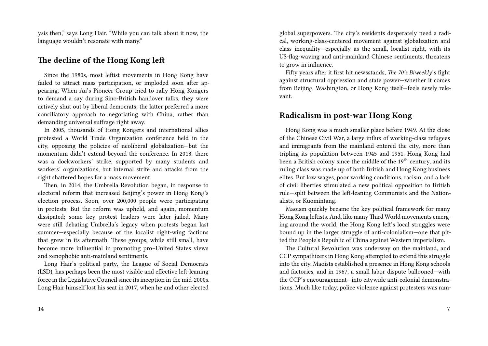ysis then," says Long Hair. "While you can talk about it now, the language wouldn't resonate with many."

## **The decline of the Hong Kong left**

Since the 1980s, most leftist movements in Hong Kong have failed to attract mass participation, or imploded soon after appearing. When Au's Pioneer Group tried to rally Hong Kongers to demand a say during Sino-British handover talks, they were actively shut out by liberal democrats; the latter preferred a more conciliatory approach to negotiating with China, rather than demanding universal suffrage right away.

In 2005, thousands of Hong Kongers and international allies protested a World Trade Organization conference held in the city, opposing the policies of neoliberal globalization—but the momentum didn't extend beyond the conference. In 2013, there was a dockworkers' strike, supported by many students and workers' organizations, but internal strife and attacks from the right shattered hopes for a mass movement.

Then, in 2014, the Umbrella Revolution began, in response to electoral reform that increased Beijing's power in Hong Kong's election process. Soon, over 200,000 people were participating in protests. But the reform was upheld, and again, momentum dissipated; some key protest leaders were later jailed. Many were still debating Umbrella's legacy when protests began last summer—especially because of the localist right-wing factions that grew in its aftermath. These groups, while still small, have become more influential in promoting pro–United States views and xenophobic anti-mainland sentiments.

Long Hair's political party, the League of Social Democrats (LSD), has perhaps been the most visible and effective left-leaning force in the Legislative Council since its inception in the mid-2000s. Long Hair himself lost his seat in 2017, when he and other elected

global superpowers. The city's residents desperately need a radical, working-class-centered movement against globalization and class inequality—especially as the small, localist right, with its US-flag-waving and anti-mainland Chinese sentiments, threatens to grow in influence.

Fifty years after it first hit newsstands, *The 70's Biweekly*'s fight against structural oppression and state power—whether it comes from Beijing, Washington, or Hong Kong itself—feels newly relevant.

### **Radicalism in post-war Hong Kong**

Hong Kong was a much smaller place before 1949. At the close of the Chinese Civil War, a large influx of working-class refugees and immigrants from the mainland entered the city, more than tripling its population between 1945 and 1951. Hong Kong had been a British colony since the middle of the 19<sup>th</sup> century, and its ruling class was made up of both British and Hong Kong business elites. But low wages, poor working conditions, racism, and a lack of civil liberties stimulated a new political opposition to British rule—split between the left-leaning Communists and the Nationalists, or Kuomintang.

Maoism quickly became the key political framework for many Hong Kong leftists. And, like many Third World movements emerging around the world, the Hong Kong left's local struggles were bound up in the larger struggle of anti-colonialism—one that pitted the People's Republic of China against Western imperialism.

The Cultural Revolution was underway on the mainland, and CCP sympathizers in Hong Kong attempted to extend this struggle into the city. Maoists established a presence in Hong Kong schools and factories, and in 1967, a small labor dispute ballooned—with the CCP's encouragement—into citywide anti-colonial demonstrations. Much like today, police violence against protesters was ram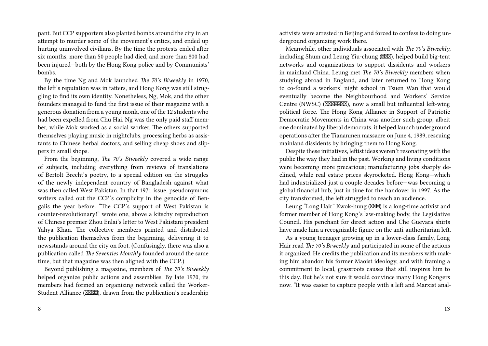pant. But CCP supporters also planted bombs around the city in an attempt to murder some of the movement's critics, and ended up hurting uninvolved civilians. By the time the protests ended after six months, more than 50 people had died, and more than 800 had been injured—both by the Hong Kong police and by Communists' bombs.

By the time Ng and Mok launched *The 70's Biweekly* in 1970, the left's reputation was in tatters, and Hong Kong was still struggling to find its own identity. Nonetheless, Ng, Mok, and the other founders managed to fund the first issue of their magazine with a generous donation from a young monk, one of the 12 students who had been expelled from Chu Hai. Ng was the only paid staff member, while Mok worked as a social worker. The others supported themselves playing music in nightclubs, processing herbs as assistants to Chinese herbal doctors, and selling cheap shoes and slippers in small shops.

From the beginning, *The 70's Biweekly* covered a wide range of subjects, including everything from reviews of translations of Bertolt Brecht's poetry, to a special edition on the struggles of the newly independent country of Bangladesh against what was then called West Pakistan. In that 1971 issue, pseudonymous writers called out the CCP's complicity in the genocide of Bengalis the year before. "The CCP's support of West Pakistan is counter-revolutionary!" wrote one, above a kitschy reproduction of Chinese premier Zhou Enlai's letter to West Pakistani president Yahya Khan. The collective members printed and distributed the publication themselves from the beginning, delivering it to newsstands around the city on foot. (Confusingly, there was also a publication called *The Seventies Monthly* founded around the same time, but that magazine was then aligned with the CCP.)

Beyond publishing a magazine, members of *The 70's Biweekly* helped organize public actions and assemblies. By late 1970, its members had formed an organizing network called the Worker-Student Alliance ( $\mathbb{X}\mathbb{X}\mathbb{X}$ ), drawn from the publication's readership activists were arrested in Beijing and forced to confess to doing underground organizing work there.

Meanwhile, other individuals associated with *The 70's Biweekly*, including Shum and Leung Yiu-chung ( $\mathbb{M}$ ), helped build big-tent networks and organizations to support dissidents and workers in mainland China. Leung met *The 70's Biweekly* members when studying abroad in England, and later returned to Hong Kong to co-found a workers' night school in Tsuen Wan that would eventually become the Neighbourhood and Workers' Service Centre (NWSC) (XXXXXXXII), now a small but influential left-wing political force. The Hong Kong Alliance in Support of Patriotic Democratic Movements in China was another such group, albeit one dominated by liberal democrats; it helped launch underground operations after the Tiananmen massacre on June 4, 1989, rescuing mainland dissidents by bringing them to Hong Kong.

Despite these initiatives, leftist ideas weren't resonating with the public the way they had in the past. Working and living conditions were becoming more precarious; manufacturing jobs sharply declined, while real estate prices skyrocketed. Hong Kong—which had industrialized just a couple decades before—was becoming a global financial hub, just in time for the handover in 1997. As the city transformed, the left struggled to reach an audience.

Leung "Long Hair" Kwok-hung ( $\mathbb{X}\mathbb{X}$ ) is a long-time activist and former member of Hong Kong's law-making body, the Legislative Council. His penchant for direct action and Che Guevara shirts have made him a recognizable figure on the anti-authoritarian left.

As a young teenager growing up in a lower-class family, Long Hair read *The 70's Biweekly* and participated in some of the actions it organized. He credits the publication and its members with making him abandon his former Maoist ideology, and with framing a commitment to local, grassroots causes that still inspires him to this day. But he's not sure it would convince many Hong Kongers now. "It was easier to capture people with a left and Marxist anal-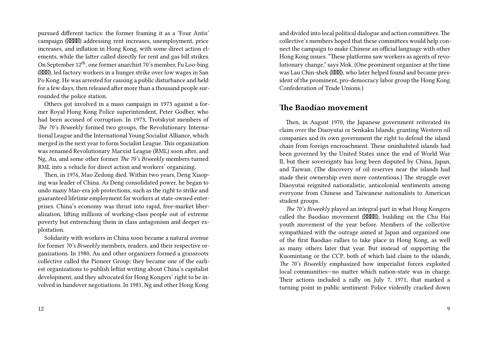pursued different tactics: the former framing it as a 'Four Antis' campaign ( $\mathbb{X}\mathbb{X}\mathbb{X}$ ) addressing rent increases, unemployment, price increases, and inflation in Hong Kong, with some direct action elements, while the latter called directly for rent and gas bill strikes. On September 12th, one former anarchist 70's member, Fu Loo-bing (XXX), led factory workers in a hunger strike over low wages in San Po Kong. He was arrested for causing a public disturbance and held for a few days, then released after more than a thousand people surrounded the police station.

Others got involved in a mass campaign in 1973 against a former Royal Hong Kong Police superintendent, Peter Godber, who had been accused of corruption. In 1973, Trotskyist members of *The 70's Biweekly* formed two groups, the Revolutionary International League and the International Young Socialist Alliance, which merged in the next year to form Socialist League. This organization was renamed Revolutionary Marxist League (RML) soon after, and Ng, Au, and some other former *The 70's Biweekly* members turned RML into a vehicle for direct action and workers' organizing.

Then, in 1976, Mao Zedong died. Within two years, Deng Xiaoping was leader of China. As Deng consolidated power, he began to undo many Mao-era job protections, such as the right to strike and guaranteed lifetime employment for workers at state-owned enterprises. China's economy was thrust into rapid, free-market liberalization, lifting millions of working-class people out of extreme poverty but entrenching them in class antagonism and deeper exploitation.

Solidarity with workers in China soon became a natural avenue for former *70's Biweekly* members, readers, and their respective organizations. In 1980, Au and other organizers formed a grassroots collective called the Pioneer Group; they became one of the earliest organizations to publish leftist writing about China's capitalist development, and they advocated for Hong Kongers' right to be involved in handover negotiations. In 1981, Ng and other Hong Kong and divided into local political dialogue and action committees. The collective's members hoped that these committees would help connect the campaign to make Chinese an official language with other Hong Kong issues. "These platforms saw workers as agents of revolutionary change," says Mok. (One prominent organizer at the time was Lau Chin-shek (XXX), who later helped found and became president of the prominent, pro-democracy labor group the Hong Kong Confederation of Trade Unions.)

#### **The Baodiao movement**

Then, in August 1970, the Japanese government reiterated its claim over the Diaoyutai or Senkaku Islands, granting Western oil companies and its own government the right to defend the island chain from foreign encroachment. These uninhabited islands had been governed by the United States since the end of World War II, but their sovereignty has long been disputed by China, Japan, and Taiwan. (The discovery of oil reserves near the islands had made their ownership even more contentious.) The struggle over Diaoyutai reignited nationalistic, anticolonial sentiments among everyone from Chinese and Taiwanese nationalists to American student groups.

*The 70's Biweekly* played an integral part in what Hong Kongers called the Baodiao movement ( $\Box$ ), building on the Chu Hai youth movement of the year before. Members of the collective sympathized with the outrage aimed at Japan and organized one of the first Baodiao rallies to take place in Hong Kong, as well as many others later that year. But instead of supporting the Kuomintang or the CCP, both of which laid claim to the islands, *The 70's Biweekly* emphasized how imperialist forces exploited local communities—no matter which nation-state was in charge. Their actions included a rally on July 7, 1971, that marked a turning point in public sentiment: Police violently cracked down